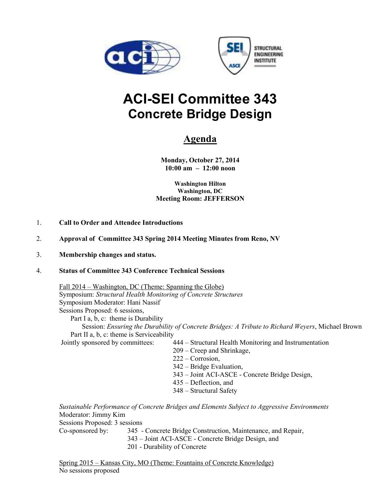



# **ACI-SEI Committee 343 Concrete Bridge Design**

## **Agenda**

**Monday, October 27, 2014 10:00 am – 12:00 noon** 

**Washington Hilton Washington, DC Meeting Room: JEFFERSON** 

- 1. **Call to Order and Attendee Introductions**
- 2. **Approval of Committee 343 Spring 2014 Meeting Minutes from Reno, NV**

#### 3. **Membership changes and status.**

#### 4. **Status of Committee 343 Conference Technical Sessions**

 Fall 2014 – Washington, DC (Theme: Spanning the Globe) Symposium: *Structural Health Monitoring of Concrete Structures* Symposium Moderator: Hani Nassif Sessions Proposed: 6 sessions, Part I a, b, c: theme is Durability

Session: *Ensuring the Durability of Concrete Bridges: A Tribute to Richard Weyers*, Michael Brown Part II a, b, c: theme is Serviceability

Jointly sponsored by committees: 444 – Structural Health Monitoring and Instrumentation

- 209 Creep and Shrinkage,
- 222 Corrosion,
- 342 Bridge Evaluation,
- 343 Joint ACI-ASCE Concrete Bridge Design,
- 435 Deflection, and
- 348 Structural Safety

*Sustainable Performance of Concrete Bridges and Elements Subject to Aggressive Environments*  Moderator: Jimmy Kim

Sessions Proposed: 3 sessions

Co-sponsored by: 345 - Concrete Bridge Construction, Maintenance, and Repair, 343 – Joint ACI-ASCE - Concrete Bridge Design, and 201 - Durability of Concrete

Spring 2015 – Kansas City, MO (Theme: Fountains of Concrete Knowledge) No sessions proposed